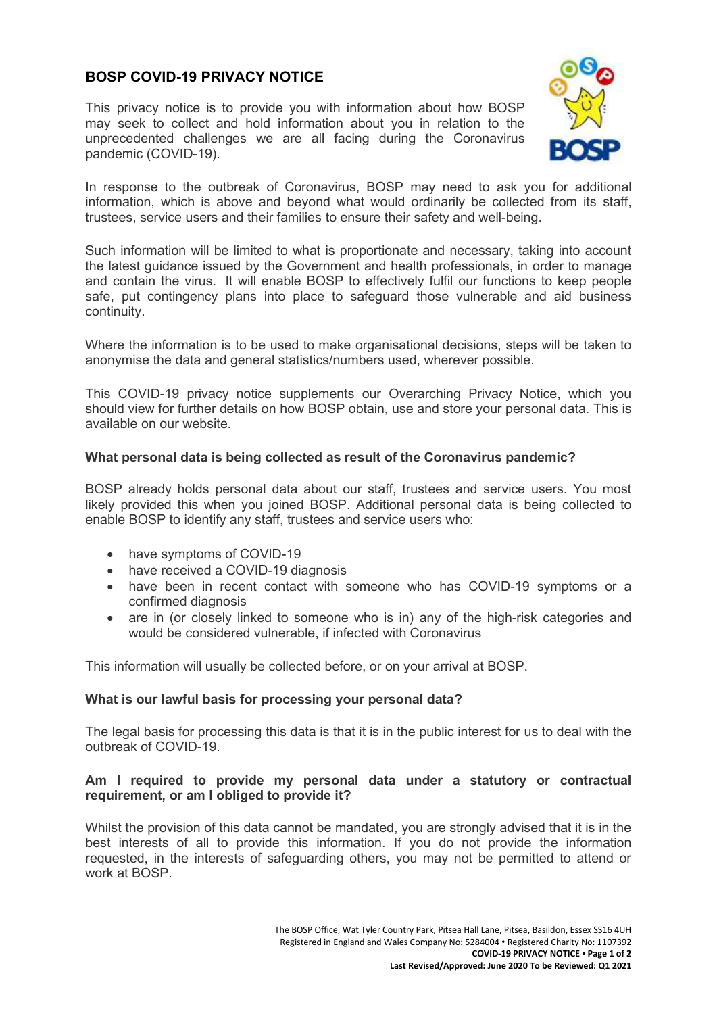# **BOSP COVID-19 PRIVACY NOTICE**

This privacy notice is to provide you with information about how BOSP may seek to collect and hold information about you in relation to the unprecedented challenges we are all facing during the Coronavirus pandemic (COVID-19).



In response to the outbreak of Coronavirus, BOSP may need to ask you for additional information, which is above and beyond what would ordinarily be collected from its staff, trustees, service users and their families to ensure their safety and well-being.

Such information will be limited to what is proportionate and necessary, taking into account the latest guidance issued by the Government and health professionals, in order to manage and contain the virus. It will enable BOSP to effectively fulfil our functions to keep people safe, put contingency plans into place to safeguard those vulnerable and aid business continuity.

Where the information is to be used to make organisational decisions, steps will be taken to anonymise the data and general statistics/numbers used, wherever possible.

This COVID-19 privacy notice supplements our Overarching Privacy Notice, which you should view for further details on how BOSP obtain, use and store your personal data. This is available on our website.

## **What personal data is being collected as result of the Coronavirus pandemic?**

BOSP already holds personal data about our staff, trustees and service users. You most likely provided this when you joined BOSP. Additional personal data is being collected to enable BOSP to identify any staff, trustees and service users who:

- have symptoms of COVID-19
- have received a COVID-19 diagnosis
- have been in recent contact with someone who has COVID-19 symptoms or a confirmed diagnosis
- are in (or closely linked to someone who is in) any of the high-risk categories and would be considered vulnerable, if infected with Coronavirus

This information will usually be collected before, or on your arrival at BOSP.

## **What is our lawful basis for processing your personal data?**

The legal basis for processing this data is that it is in the public interest for us to deal with the outbreak of COVID-19.

### **Am I required to provide my personal data under a statutory or contractual requirement, or am I obliged to provide it?**

Whilst the provision of this data cannot be mandated, you are strongly advised that it is in the best interests of all to provide this information. If you do not provide the information requested, in the interests of safeguarding others, you may not be permitted to attend or work at BOSP